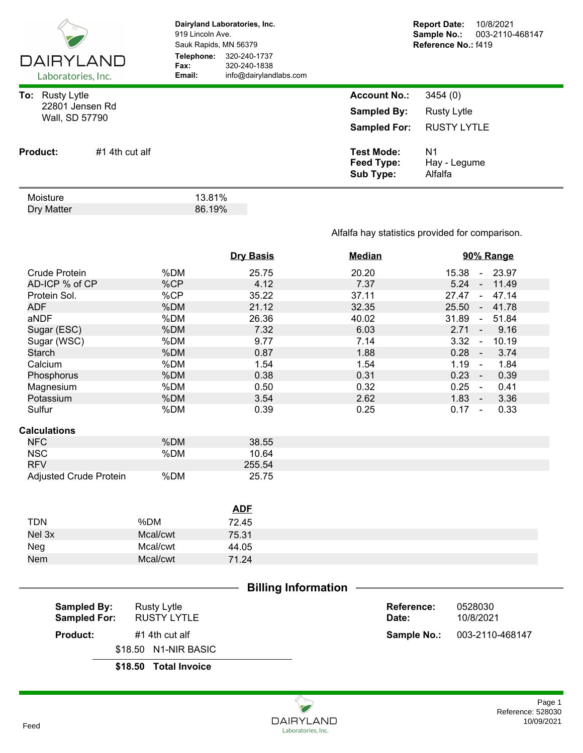| <b>DAIRYLAND</b><br>Laboratories, Inc.                         |  | Dairyland Laboratories, Inc.<br>919 Lincoln Ave.<br>Sauk Rapids, MN 56379<br>Telephone:<br>320-240-1737<br>Fax:<br>320-240-1838<br>Email:<br>info@dairylandlabs.com |  | <b>Report Date:</b><br>10/8/2021<br>Sample No.:<br>003-2110-468147<br>Reference No.: f419 |                                                     |  |
|----------------------------------------------------------------|--|---------------------------------------------------------------------------------------------------------------------------------------------------------------------|--|-------------------------------------------------------------------------------------------|-----------------------------------------------------|--|
| To:<br><b>Rusty Lytle</b><br>22801 Jensen Rd<br>Wall, SD 57790 |  |                                                                                                                                                                     |  | <b>Account No.:</b><br><b>Sampled By:</b><br><b>Sampled For:</b>                          | 3454(0)<br><b>Rusty Lytle</b><br><b>RUSTY LYTLE</b> |  |
| #1 4th cut alf<br><b>Product:</b>                              |  |                                                                                                                                                                     |  | <b>Test Mode:</b><br>Feed Type:<br>Sub Type:                                              | N <sub>1</sub><br>Hay - Legume<br>Alfalfa           |  |
| Moisture<br>Dry Matter                                         |  | 13.81%<br>86.19%                                                                                                                                                    |  |                                                                                           |                                                     |  |

## Alfalfa hay statistics provided for comparison.

|                               |          | <b>Dry Basis</b> | <b>Median</b> | 90% Range                |
|-------------------------------|----------|------------------|---------------|--------------------------|
| <b>Crude Protein</b>          | %DM      | 25.75            | 20.20         | 15.38<br>$-23.97$        |
| AD-ICP % of CP                | %CP      | 4.12             | 7.37          | $5.24 - 11.49$           |
| Protein Sol.                  | %CP      | 35.22            | 37.11         | 27.47<br>47.14<br>$\sim$ |
| <b>ADF</b>                    | %DM      | 21.12            | 32.35         | 25.50 - 41.78            |
| aNDF                          | %DM      | 26.36            | 40.02         | 31.89<br>51.84<br>$\sim$ |
| Sugar (ESC)                   | %DM      | 7.32             | 6.03          | 9.16<br>$2.71 -$         |
| Sugar (WSC)                   | %DM      | 9.77             | 7.14          | $3.32 -$<br>10.19        |
| <b>Starch</b>                 | %DM      | 0.87             | 1.88          | $0.28 -$<br>3.74         |
| Calcium                       | %DM      | 1.54             | 1.54          | 1.19<br>1.84<br>$\sim$   |
| Phosphorus                    | %DM      | 0.38             | 0.31          | $0.23 -$<br>0.39         |
| Magnesium                     | %DM      | 0.50             | 0.32          | $0.25 -$<br>0.41         |
| Potassium                     | %DM      | 3.54             | 2.62          | $1.83 -$<br>3.36         |
| Sulfur                        | %DM      | 0.39             | 0.25          | $0.17 -$<br>0.33         |
| <b>Calculations</b>           |          |                  |               |                          |
| <b>NFC</b>                    | %DM      | 38.55            |               |                          |
| <b>NSC</b>                    | %DM      | 10.64            |               |                          |
| <b>RFV</b>                    |          | 255.54           |               |                          |
| <b>Adjusted Crude Protein</b> | %DM      | 25.75            |               |                          |
|                               |          |                  |               |                          |
|                               |          | <b>ADF</b>       |               |                          |
| <b>TDN</b>                    | %DM      | 72.45            |               |                          |
| Nel 3x                        | Mcal/cwt | 75.31            |               |                          |
| Neg                           | Mcal/cwt | 44.05            |               |                          |
| Nem                           | Mcal/cwt | 71.24            |               |                          |
|                               |          |                  |               |                          |
| <b>Billing Information</b>    |          |                  |               |                          |

| Sampled By:<br><b>Sampled For:</b> | Rusty Lytle<br>RUSTY LYTLE | Reference:<br>Date: | 0528030<br>10/8/2021 |
|------------------------------------|----------------------------|---------------------|----------------------|
| <b>Product:</b>                    | #1 4th cut alf             | Sample No.:         | 003-2110-468147      |
|                                    | \$18.50 N1-NIR BASIC       |                     |                      |
|                                    | \$18.50 Total Invoice      |                     |                      |

Reference: 528030<br>10/09/2021 Page 1